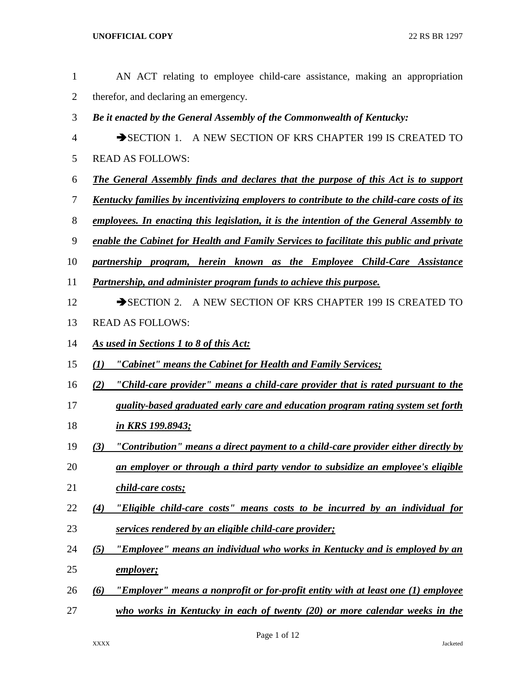| AN ACT relating to employee child-care assistance, making an appropriation                       |
|--------------------------------------------------------------------------------------------------|
| therefor, and declaring an emergency.                                                            |
| Be it enacted by the General Assembly of the Commonwealth of Kentucky:                           |
| SECTION 1. A NEW SECTION OF KRS CHAPTER 199 IS CREATED TO                                        |
| <b>READ AS FOLLOWS:</b>                                                                          |
| <b>The General Assembly finds and declares that the purpose of this Act is to support</b>        |
| <u>Kentucky families by incentivizing employers to contribute to the child-care costs of its</u> |
| employees. In enacting this legislation, it is the intention of the General Assembly to          |
| enable the Cabinet for Health and Family Services to facilitate this public and private          |
| partnership program, herein known as the Employee Child-Care Assistance                          |
| <b>Partnership, and administer program funds to achieve this purpose.</b>                        |
| SECTION 2. A NEW SECTION OF KRS CHAPTER 199 IS CREATED TO                                        |
| <b>READ AS FOLLOWS:</b>                                                                          |
| As used in Sections 1 to 8 of this Act:                                                          |
| "Cabinet" means the Cabinet for Health and Family Services;<br>(I)                               |
| "Child-care provider" means a child-care provider that is rated pursuant to the<br>(2)           |
| quality-based graduated early care and education program rating system set forth                 |
| in KRS 199.8943;                                                                                 |
| <u>"Contribution" means a direct payment to a child-care provider either directly by</u><br>(3)  |
| an employer or through a third party vendor to subsidize an employee's eligible                  |
| child-care costs;                                                                                |
| "Eligible child-care costs" means costs to be incurred by an individual for<br>(4)               |
| services rendered by an eligible child-care provider;                                            |
| "Employee" means an individual who works in Kentucky and is employed by an<br>(5)                |
| <u>employer;</u>                                                                                 |
| "Employer" means a nonprofit or for-profit entity with at least one (1) employee<br>(6)          |
| who works in Kentucky in each of twenty $(20)$ or more calendar weeks in the                     |
|                                                                                                  |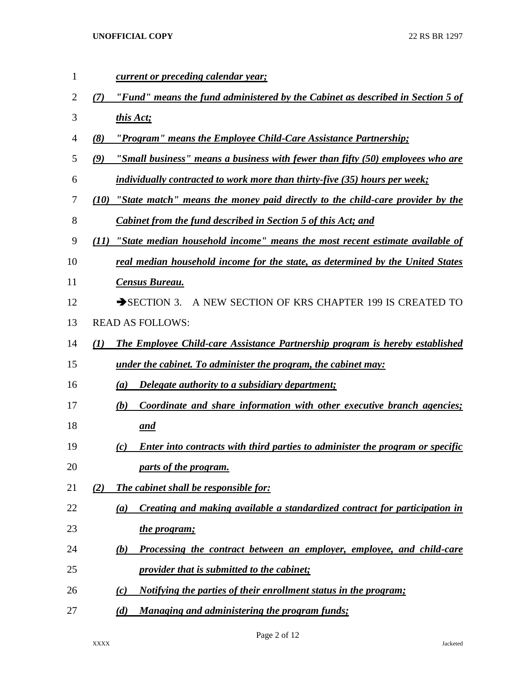| $\mathbf{1}$   | <u>current or preceding calendar year;</u>                                                  |
|----------------|---------------------------------------------------------------------------------------------|
| $\overline{2}$ | "Fund" means the fund administered by the Cabinet as described in Section 5 of<br>(7)       |
| 3              | this Act;                                                                                   |
| $\overline{4}$ | (8)<br>"Program" means the Employee Child-Care Assistance Partnership;                      |
| 5              | "Small business" means a business with fewer than fifty (50) employees who are<br>(9)       |
| 6              | individually contracted to work more than thirty-five (35) hours per week;                  |
| 7              | "State match" means the money paid directly to the child-care provider by the<br>(10)       |
| 8              | <b>Cabinet from the fund described in Section 5 of this Act; and</b>                        |
| 9              | "State median household income" means the most recent estimate available of<br>(II)         |
| 10             | real median household income for the state, as determined by the United States              |
| 11             | <b>Census Bureau.</b>                                                                       |
| 12             | A NEW SECTION OF KRS CHAPTER 199 IS CREATED TO<br>$\rightarrow$ SECTION 3.                  |
| 13             | <b>READ AS FOLLOWS:</b>                                                                     |
| 14             | (1)<br>The Employee Child-care Assistance Partnership program is hereby established         |
| 15             | <u>under the cabinet. To administer the program, the cabinet may:</u>                       |
| 16             | Delegate authority to a subsidiary department;<br>(a)                                       |
| 17             | Coordinate and share information with other executive branch agencies;<br>(b)               |
| 18             | <u>and</u>                                                                                  |
| 19             | <b>Enter into contracts with third parties to administer the program or specific</b><br>(c) |
| 20             | parts of the program.                                                                       |
| 21             | (2)<br><b>The cabinet shall be responsible for:</b>                                         |
| 22             | Creating and making available a standardized contract for participation in<br>(a)           |
| 23             | the program;                                                                                |
| 24             | Processing the contract between an employer, employee, and child-care<br>(b)                |
| 25             | <i><u><b>provider that is submitted to the cabinet;</b></u></i>                             |
| 26             | <u>Notifying the parties of their enrollment status in the program;</u><br>(c)              |
| 27             | Managing and administering the program funds;<br>(d)                                        |

Page 2 of 12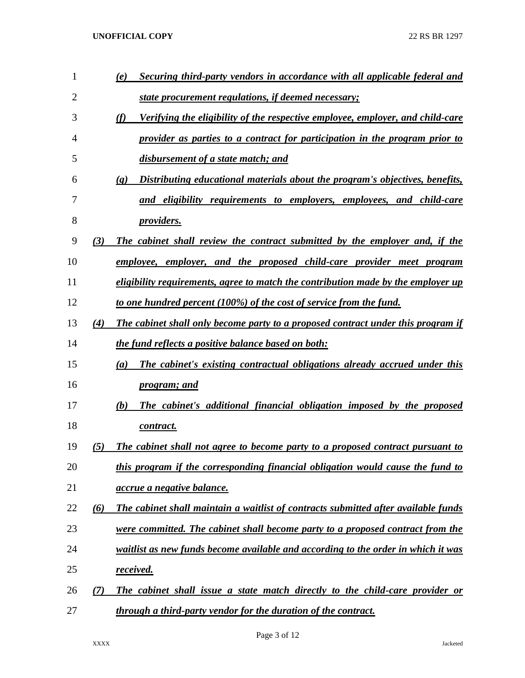| $\mathbf{1}$ |     | Securing third-party vendors in accordance with all applicable federal and<br>(e)                           |
|--------------|-----|-------------------------------------------------------------------------------------------------------------|
| 2            |     | state procurement regulations, if deemed necessary;                                                         |
| 3            |     | Verifying the eligibility of the respective employee, employer, and child-care<br>(f)                       |
| 4            |     | provider as parties to a contract for participation in the program prior to                                 |
| 5            |     | disbursement of a state match; and                                                                          |
| 6            |     | Distributing educational materials about the program's objectives, benefits,<br>$\left( \mathbf{g} \right)$ |
| 7            |     | and eligibility requirements to employers, employees, and child-care                                        |
| 8            |     | <i>providers.</i>                                                                                           |
| 9            | (3) | The cabinet shall review the contract submitted by the employer and, if the                                 |
| 10           |     | employee, employer, and the proposed child-care provider meet program                                       |
| 11           |     | eligibility requirements, agree to match the contribution made by the employer up                           |
| 12           |     | to one hundred percent (100%) of the cost of service from the fund.                                         |
| 13           | (4) | The cabinet shall only become party to a proposed contract under this program if                            |
| 14           |     | the fund reflects a positive balance based on both:                                                         |
| 15           |     | The cabinet's existing contractual obligations already accrued under this<br>(a)                            |
| 16           |     | <i>program; and</i>                                                                                         |
| 17           |     | The cabinet's additional financial obligation imposed by the proposed<br>(b)                                |
| 18           |     | contract.                                                                                                   |
| 19           | (5) | The cabinet shall not agree to become party to a proposed contract pursuant to                              |
| 20           |     | this program if the corresponding financial obligation would cause the fund to                              |
| 21           |     | <i>accrue a negative balance.</i>                                                                           |
| 22           | (6) | The cabinet shall maintain a waitlist of contracts submitted after available funds                          |
| 23           |     | were committed. The cabinet shall become party to a proposed contract from the                              |
| 24           |     | waitlist as new funds become available and according to the order in which it was                           |
| 25           |     | received.                                                                                                   |
| 26           | (7) | The cabinet shall issue a state match directly to the child-care provider or                                |
| 27           |     | through a third-party vendor for the duration of the contract.                                              |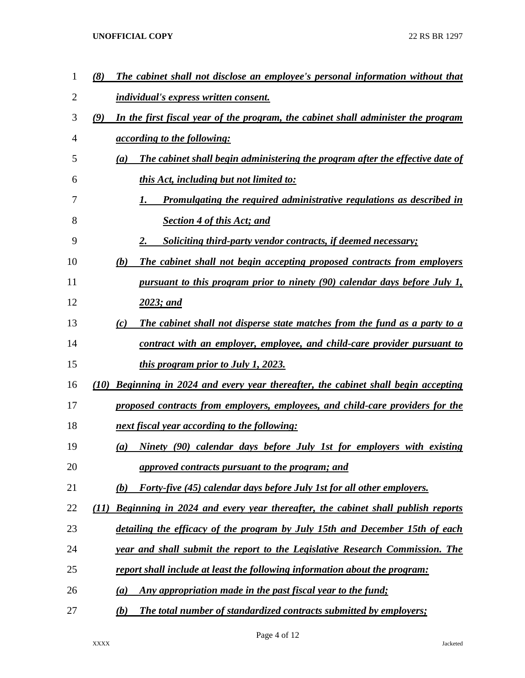| 1  | (8)<br>The cabinet shall not disclose an employee's personal information without that     |  |
|----|-------------------------------------------------------------------------------------------|--|
| 2  | <b>individual's express written consent.</b>                                              |  |
| 3  | (9)<br>In the first fiscal year of the program, the cabinet shall administer the program  |  |
| 4  | <i><u>according to the following:</u></i>                                                 |  |
| 5  | The cabinet shall begin administering the program after the effective date of<br>(a)      |  |
| 6  | this Act, including but not limited to:                                                   |  |
| 7  | <u>Promulgating the required administrative regulations as described in</u>               |  |
| 8  | <b>Section 4 of this Act; and</b>                                                         |  |
| 9  | 2.<br><b>Soliciting third-party vendor contracts, if deemed necessary;</b>                |  |
| 10 | The cabinet shall not begin accepting proposed contracts from employers<br>(b)            |  |
| 11 | <u>pursuant to this program prior to ninety (90) calendar days before July 1,</u>         |  |
| 12 | 2023; and                                                                                 |  |
| 13 | The cabinet shall not disperse state matches from the fund as a party to a<br>(c)         |  |
| 14 | contract with an employer, employee, and child-care provider pursuant to                  |  |
| 15 | <i>this program prior to July 1, 2023.</i>                                                |  |
| 16 | Beginning in 2024 and every year thereafter, the cabinet shall begin accepting<br>(10)    |  |
| 17 | proposed contracts from employers, employees, and child-care providers for the            |  |
| 18 | next fiscal year according to the following:                                              |  |
| 19 | Ninety (90) calendar days before July 1st for employers with existing<br>$\left(a\right)$ |  |
| 20 | approved contracts pursuant to the program; and                                           |  |
| 21 | <b>Forty-five (45) calendar days before July 1st for all other employers.</b><br>(b)      |  |
| 22 | Beginning in 2024 and every year thereafter, the cabinet shall publish reports<br>(11)    |  |
| 23 | detailing the efficacy of the program by July 15th and December 15th of each              |  |
| 24 | year and shall submit the report to the Legislative Research Commission. The              |  |
| 25 | report shall include at least the following information about the program:                |  |
| 26 | Any appropriation made in the past fiscal year to the fund;<br>(a)                        |  |
| 27 | <b>The total number of standardized contracts submitted by employers;</b><br>(b)          |  |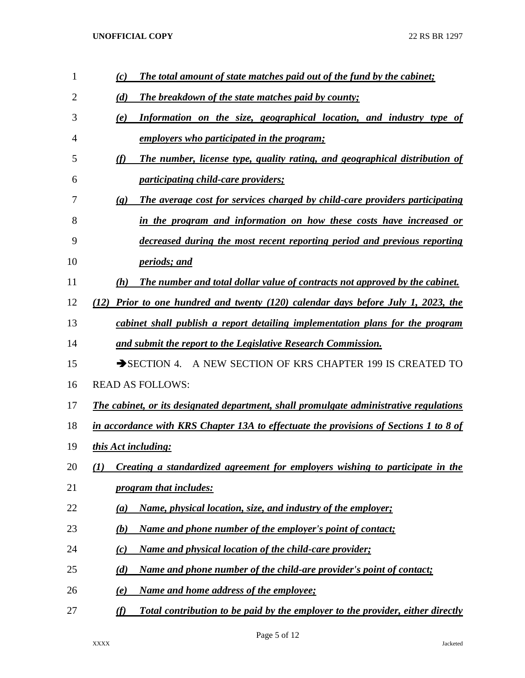| 1  | The total amount of state matches paid out of the fund by the cabinet;<br>(c)                              |
|----|------------------------------------------------------------------------------------------------------------|
| 2  | (d)<br><b>The breakdown of the state matches paid by county;</b>                                           |
| 3  | Information on the size, geographical location, and industry type of<br>(e)                                |
| 4  | employers who participated in the program;                                                                 |
| 5  | (f)<br>The number, license type, quality rating, and geographical distribution of                          |
| 6  | <i>participating child-care providers;</i>                                                                 |
| 7  | The average cost for services charged by child-care providers participating<br>$\left( \mathbf{g} \right)$ |
| 8  | in the program and information on how these costs have increased or                                        |
| 9  | decreased during the most recent reporting period and previous reporting                                   |
| 10 | <i>periods; and</i>                                                                                        |
| 11 | The number and total dollar value of contracts not approved by the cabinet.<br>(h)                         |
| 12 | Prior to one hundred and twenty (120) calendar days before July 1, 2023, the<br>(12)                       |
| 13 | cabinet shall publish a report detailing implementation plans for the program                              |
| 14 | and submit the report to the Legislative Research Commission.                                              |
| 15 | A NEW SECTION OF KRS CHAPTER 199 IS CREATED TO<br>$\rightarrow$ SECTION 4.                                 |
| 16 | <b>READ AS FOLLOWS:</b>                                                                                    |
| 17 | The cabinet, or its designated department, shall promulgate administrative regulations                     |
| 18 | in accordance with KRS Chapter 13A to effectuate the provisions of Sections 1 to 8 of                      |
| 19 | this Act including:                                                                                        |
| 20 | Creating a standardized agreement for employers wishing to participate in the<br>(I)                       |
| 21 | <i>program that includes:</i>                                                                              |
| 22 | Name, physical location, size, and industry of the employer;<br>(a)                                        |
| 23 | Name and phone number of the employer's point of contact;<br>(b)                                           |
| 24 | Name and physical location of the child-care provider;<br>(c)                                              |
| 25 | (d)<br>Name and phone number of the child-are provider's point of contact;                                 |
| 26 | Name and home address of the employee;<br>$\left(\mathbf{e}\right)$                                        |
| 27 | (f)<br>Total contribution to be paid by the employer to the provider, either directly                      |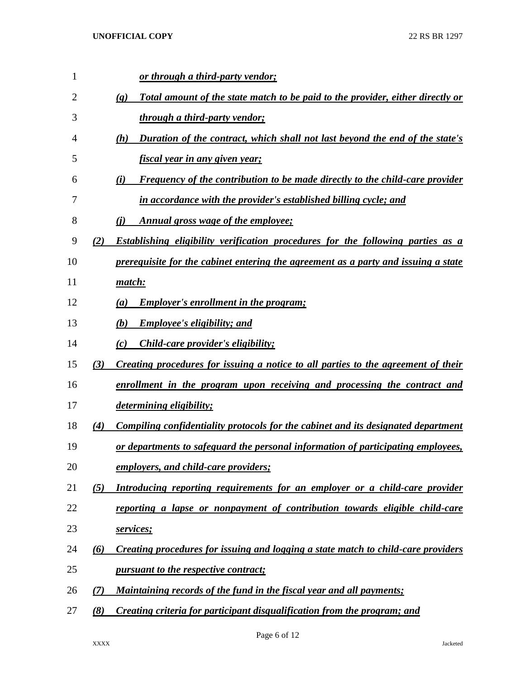| 1              |          | or through a third-party vendor;                                                                              |
|----------------|----------|---------------------------------------------------------------------------------------------------------------|
| $\overline{2}$ |          | Total amount of the state match to be paid to the provider, either directly or<br>$\left( \mathbf{g} \right)$ |
| 3              |          | through a third-party vendor;                                                                                 |
| 4              |          | Duration of the contract, which shall not last beyond the end of the state's<br>(h)                           |
| 5              |          | <u>fiscal year in any given year;</u>                                                                         |
| 6              |          | <b>Frequency of the contribution to be made directly to the child-care provider</b><br>(i)                    |
| 7              |          | in accordance with the provider's established billing cycle; and                                              |
| 8              |          | Annual gross wage of the employee;<br>(i)                                                                     |
| 9              | (2)      | <b>Establishing eligibility verification procedures for the following parties as a</b>                        |
| 10             |          | prerequisite for the cabinet entering the agreement as a party and issuing a state                            |
| 11             |          | <u>match:</u>                                                                                                 |
| 12             |          | <b>Employer's enrollment in the program;</b><br>(a)                                                           |
| 13             |          | <b>Employee's eligibility; and</b><br>(b)                                                                     |
| 14             |          | <i>Child-care provider's eligibility;</i><br>(c)                                                              |
| 15             | (3)      | Creating procedures for issuing a notice to all parties to the agreement of their                             |
| 16             |          | enrollment in the program upon receiving and processing the contract and                                      |
| 17             |          | <i>determining eligibility;</i>                                                                               |
| 18             | (4)      | Compiling confidentiality protocols for the cabinet and its designated department                             |
| 19             |          | or departments to safeguard the personal information of participating employees,                              |
| 20             |          | employers, and child-care providers;                                                                          |
| 21             | (5)      | Introducing reporting requirements for an employer or a child-care provider                                   |
| 22             |          | reporting a lapse or nonpayment of contribution towards eligible child-care                                   |
| 23             |          | services;                                                                                                     |
| 24             | $\omega$ | Creating procedures for issuing and logging a state match to child-care providers                             |
| 25             |          | pursuant to the respective contract;                                                                          |
| 26             | (7)      | Maintaining records of the fund in the fiscal year and all payments;                                          |
| 27             | (8)      | Creating criteria for participant disqualification from the program; and                                      |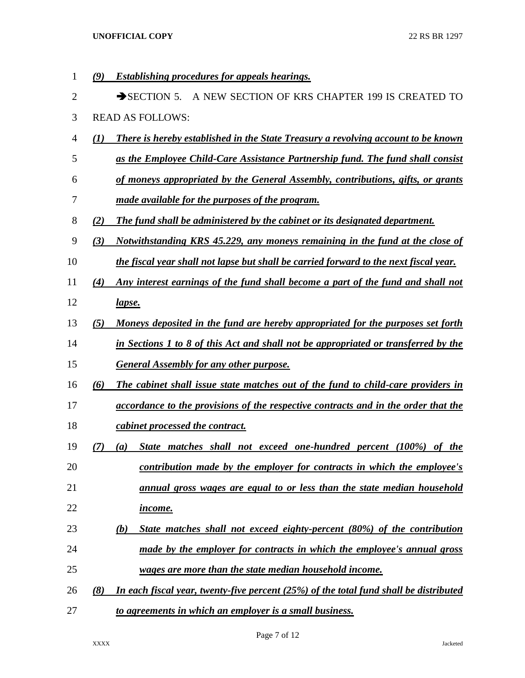*(9) Establishing procedures for appeals hearings.* 2 SECTION 5. A NEW SECTION OF KRS CHAPTER 199 IS CREATED TO READ AS FOLLOWS: *(1) There is hereby established in the State Treasury a revolving account to be known as the Employee Child-Care Assistance Partnership fund. The fund shall consist of moneys appropriated by the General Assembly, contributions, gifts, or grants made available for the purposes of the program. (2) The fund shall be administered by the cabinet or its designated department. (3) Notwithstanding KRS 45.229, any moneys remaining in the fund at the close of the fiscal year shall not lapse but shall be carried forward to the next fiscal year. (4) Any interest earnings of the fund shall become a part of the fund and shall not lapse. (5) Moneys deposited in the fund are hereby appropriated for the purposes set forth in Sections 1 to 8 of this Act and shall not be appropriated or transferred by the General Assembly for any other purpose. (6) The cabinet shall issue state matches out of the fund to child-care providers in accordance to the provisions of the respective contracts and in the order that the cabinet processed the contract. (7) (a) State matches shall not exceed one-hundred percent (100%) of the contribution made by the employer for contracts in which the employee's annual gross wages are equal to or less than the state median household income. (b) State matches shall not exceed eighty-percent (80%) of the contribution made by the employer for contracts in which the employee's annual gross wages are more than the state median household income. (8) In each fiscal year, twenty-five percent (25%) of the total fund shall be distributed to agreements in which an employer is a small business.*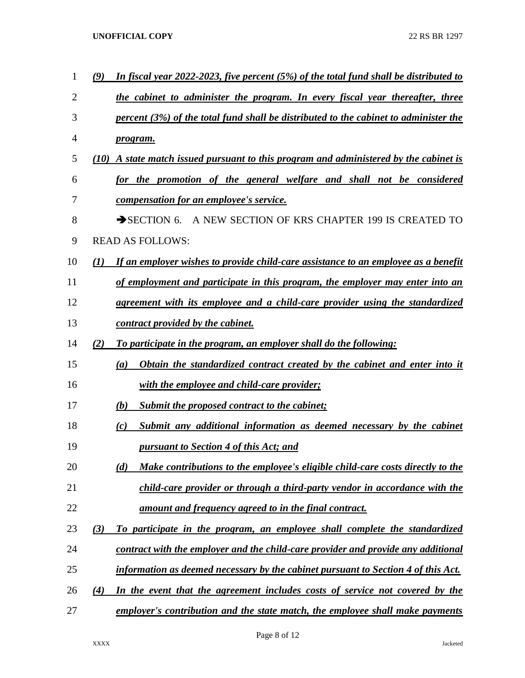| 1  | In fiscal year 2022-2023, five percent $(5%)$ of the total fund shall be distributed to<br>$\mathcal{L}(\mathbf{9})$ |
|----|----------------------------------------------------------------------------------------------------------------------|
| 2  | the cabinet to administer the program. In every fiscal year thereafter, three                                        |
| 3  | percent $(3\%)$ of the total fund shall be distributed to the cabinet to administer the                              |
| 4  | <i>program.</i>                                                                                                      |
| 5  | A state match issued pursuant to this program and administered by the cabinet is<br>(10)                             |
| 6  | for the promotion of the general welfare and shall not be considered                                                 |
| 7  | <i>compensation for an employee's service.</i>                                                                       |
| 8  | A NEW SECTION OF KRS CHAPTER 199 IS CREATED TO<br>$\rightarrow$ SECTION 6.                                           |
| 9  | <b>READ AS FOLLOWS:</b>                                                                                              |
| 10 | $\mathcal{L}(I)$<br>If an employer wishes to provide child-care assistance to an employee as a benefit               |
| 11 | of employment and participate in this program, the employer may enter into an                                        |
| 12 | agreement with its employee and a child-care provider using the standardized                                         |
| 13 | contract provided by the cabinet.                                                                                    |
| 14 | (2)<br>To participate in the program, an employer shall do the following:                                            |
| 15 | Obtain the standardized contract created by the cabinet and enter into it<br>(a)                                     |
| 16 | with the employee and child-care provider;                                                                           |
| 17 | Submit the proposed contract to the cabinet;<br>(b)                                                                  |
| 18 | Submit any additional information as deemed necessary by the cabinet<br>(c)                                          |
| 19 | pursuant to Section 4 of this Act; and                                                                               |
| 20 | Make contributions to the employee's eligible child-care costs directly to the<br>(d)                                |
| 21 | child-care provider or through a third-party vendor in accordance with the                                           |
| 22 | amount and frequency agreed to in the final contract.                                                                |
| 23 | (3)<br>To participate in the program, an employee shall complete the standardized                                    |
| 24 | <u>contract with the employer and the child-care provider and provide any additional</u>                             |
| 25 | information as deemed necessary by the cabinet pursuant to Section 4 of this Act.                                    |
| 26 | In the event that the agreement includes costs of service not covered by the<br>(4)                                  |
| 27 | employer's contribution and the state match, the employee shall make payments                                        |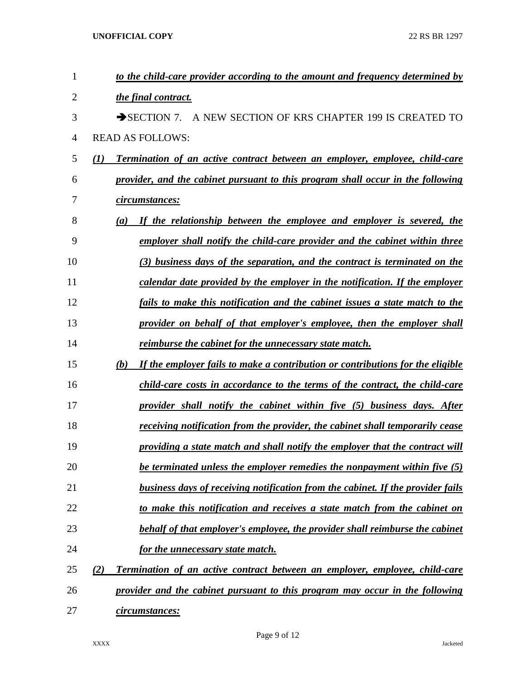| $\mathbf{1}$ | to the child-care provider according to the amount and frequency determined by                         |
|--------------|--------------------------------------------------------------------------------------------------------|
| 2            | the final contract.                                                                                    |
| 3            | $\rightarrow$ SECTION 7.<br>A NEW SECTION OF KRS CHAPTER 199 IS CREATED TO                             |
| 4            | <b>READ AS FOLLOWS:</b>                                                                                |
| 5            | $\mathcal{L}(I)$<br><b>Termination of an active contract between an employer, employee, child-care</b> |
| 6            | provider, and the cabinet pursuant to this program shall occur in the following                        |
| 7            | circumstances:                                                                                         |
| 8            | If the relationship between the employee and employer is severed, the<br>(a)                           |
| 9            | employer shall notify the child-care provider and the cabinet within three                             |
| 10           | (3) business days of the separation, and the contract is terminated on the                             |
| 11           | calendar date provided by the employer in the notification. If the employer                            |
| 12           | fails to make this notification and the cabinet issues a state match to the                            |
| 13           | provider on behalf of that employer's employee, then the employer shall                                |
| 14           | reimburse the cabinet for the unnecessary state match.                                                 |
| 15           | (b)<br>If the employer fails to make a contribution or contributions for the eligible                  |
| 16           | child-care costs in accordance to the terms of the contract, the child-care                            |
| 17           | provider shall notify the cabinet within five (5) business days. After                                 |
| 18           | receiving notification from the provider, the cabinet shall temporarily cease                          |
| 19           | providing a state match and shall notify the employer that the contract will                           |
| 20           | <u>be terminated unless the employer remedies the nonpayment within five (5)</u>                       |
| 21           | <b>business days of receiving notification from the cabinet. If the provider fails</b>                 |
| 22           | to make this notification and receives a state match from the cabinet on                               |
| 23           | behalf of that employer's employee, the provider shall reimburse the cabinet                           |
| 24           | for the unnecessary state match.                                                                       |
| 25           | (2)<br><b>Termination of an active contract between an employer, employee, child-care</b>              |
| 26           | provider and the cabinet pursuant to this program may occur in the following                           |
| 27           | <u>circumstances:</u>                                                                                  |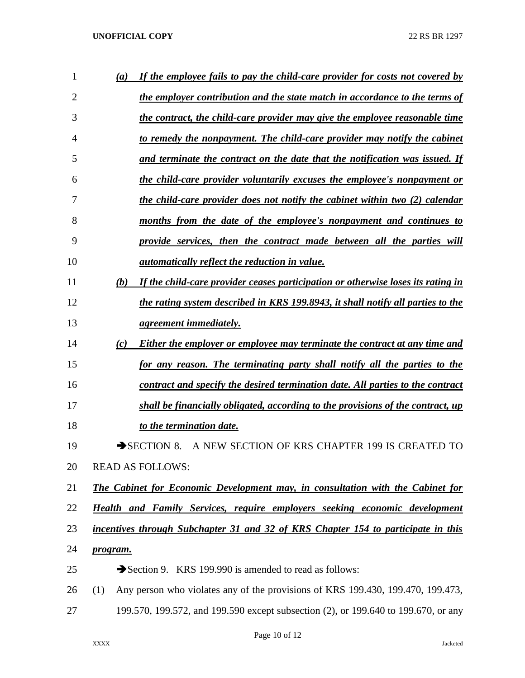| 1              | If the employee fails to pay the child-care provider for costs not covered by<br>(a)    |
|----------------|-----------------------------------------------------------------------------------------|
| $\overline{2}$ | the employer contribution and the state match in accordance to the terms of             |
| 3              | the contract, the child-care provider may give the employee reasonable time             |
| 4              | to remedy the nonpayment. The child-care provider may notify the cabinet                |
| 5              | and terminate the contract on the date that the notification was issued. If             |
| 6              | the child-care provider voluntarily excuses the employee's nonpayment or                |
| 7              | the child-care provider does not notify the cabinet within two (2) calendar             |
| 8              | months from the date of the employee's nonpayment and continues to                      |
| 9              | provide services, then the contract made between all the parties will                   |
| 10             | <i>automatically reflect the reduction in value.</i>                                    |
| 11             | If the child-care provider ceases participation or otherwise loses its rating in<br>(b) |
| 12             | the rating system described in KRS 199.8943, it shall notify all parties to the         |
| 13             | <i>agreement immediately.</i>                                                           |
| 14             | (c)<br>Either the employer or employee may terminate the contract at any time and       |
| 15             | for any reason. The terminating party shall notify all the parties to the               |
| 16             | contract and specify the desired termination date. All parties to the contract          |
| 17             | shall be financially obligated, according to the provisions of the contract, up         |
| 18             | to the termination date.                                                                |
| 19             | A NEW SECTION OF KRS CHAPTER 199 IS CREATED TO<br>$\rightarrow$ SECTION 8.              |
| 20             | <b>READ AS FOLLOWS:</b>                                                                 |
| 21             | The Cabinet for Economic Development may, in consultation with the Cabinet for          |
| 22             | <b>Health and Family Services, require employers seeking economic development</b>       |
| 23             | incentives through Subchapter 31 and 32 of KRS Chapter 154 to participate in this       |
| 24             | program.                                                                                |
| 25             | Section 9. KRS 199.990 is amended to read as follows:                                   |
| 26             | Any person who violates any of the provisions of KRS 199.430, 199.470, 199.473,<br>(1)  |
| 27             | 199.570, 199.572, and 199.590 except subsection (2), or 199.640 to 199.670, or any      |

Page 10 of 12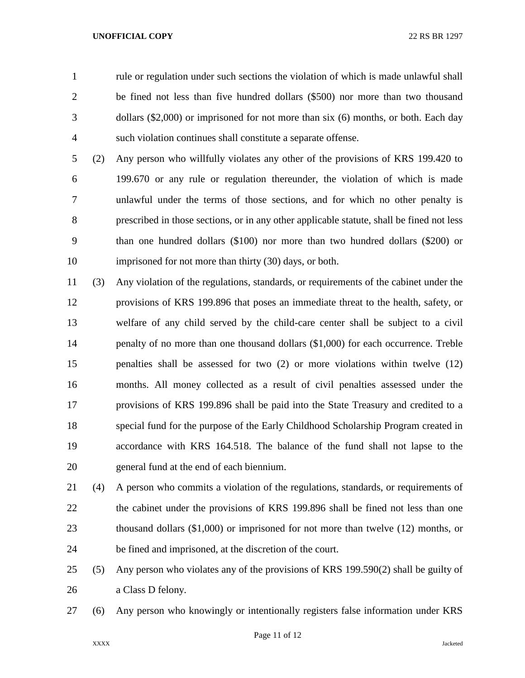rule or regulation under such sections the violation of which is made unlawful shall be fined not less than five hundred dollars (\$500) nor more than two thousand dollars (\$2,000) or imprisoned for not more than six (6) months, or both. Each day such violation continues shall constitute a separate offense.

 (2) Any person who willfully violates any other of the provisions of KRS 199.420 to 199.670 or any rule or regulation thereunder, the violation of which is made unlawful under the terms of those sections, and for which no other penalty is prescribed in those sections, or in any other applicable statute, shall be fined not less than one hundred dollars (\$100) nor more than two hundred dollars (\$200) or imprisoned for not more than thirty (30) days, or both.

 (3) Any violation of the regulations, standards, or requirements of the cabinet under the provisions of KRS 199.896 that poses an immediate threat to the health, safety, or welfare of any child served by the child-care center shall be subject to a civil 14 penalty of no more than one thousand dollars (\$1,000) for each occurrence. Treble penalties shall be assessed for two (2) or more violations within twelve (12) months. All money collected as a result of civil penalties assessed under the provisions of KRS 199.896 shall be paid into the State Treasury and credited to a special fund for the purpose of the Early Childhood Scholarship Program created in accordance with KRS 164.518. The balance of the fund shall not lapse to the general fund at the end of each biennium.

 (4) A person who commits a violation of the regulations, standards, or requirements of the cabinet under the provisions of KRS 199.896 shall be fined not less than one thousand dollars (\$1,000) or imprisoned for not more than twelve (12) months, or be fined and imprisoned, at the discretion of the court.

 (5) Any person who violates any of the provisions of KRS 199.590(2) shall be guilty of a Class D felony.

(6) Any person who knowingly or intentionally registers false information under KRS